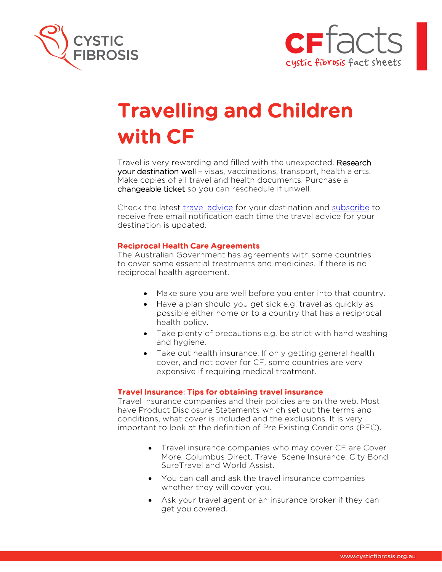



# Travelling and Children with CF

Travel is very rewarding and filled with the unexpected. Research your destination well – visas, vaccinations, transport, health alerts. Make copies of all travel and health documents. Purchase a changeable ticket so you can reschedule if unwell.

Check the latest travel advice for your destination and subscribe to receive free email notification each time the travel advice for your destination is updated.

## Reciprocal Health Care Agreements

The Australian Government has agreements with some countries to cover some essential treatments and medicines. If there is no reciprocal health agreement.

- Make sure you are well before you enter into that country.
- Have a plan should you get sick e.g. travel as quickly as possible either home or to a country that has a reciprocal health policy.
- Take plenty of precautions e.g. be strict with hand washing and hygiene.
- Take out health insurance. If only getting general health cover, and not cover for CF, some countries are very expensive if requiring medical treatment.

#### Travel Insurance: Tips for obtaining travel insurance

Travel insurance companies and their policies are on the web. Most have Product Disclosure Statements which set out the terms and conditions, what cover is included and the exclusions. It is very important to look at the definition of Pre Existing Conditions (PEC).

- Travel insurance companies who may cover CF are Cover More, Columbus Direct, Travel Scene Insurance, City Bond SureTravel and World Assist.
- You can call and ask the travel insurance companies whether they will cover you.
- Ask your travel agent or an insurance broker if they can get you covered.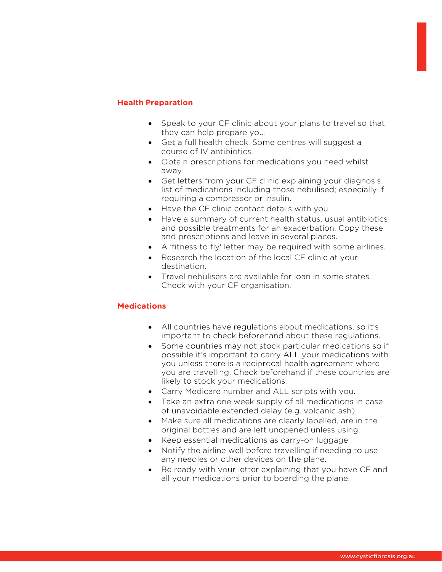# Health Preparation

- Speak to your CF clinic about your plans to travel so that they can help prepare you.
- Get a full health check. Some centres will suggest a course of IV antibiotics.
- Obtain prescriptions for medications you need whilst away
- Get letters from your CF clinic explaining your diagnosis, list of medications including those nebulised; especially if requiring a compressor or insulin.
- Have the CF clinic contact details with you.
- Have a summary of current health status, usual antibiotics and possible treatments for an exacerbation. Copy these and prescriptions and leave in several places.
- A 'fitness to fly' letter may be required with some airlines.
- Research the location of the local CF clinic at your destination.
- Travel nebulisers are available for loan in some states. Check with your CF organisation.

# **Medications**

- All countries have regulations about medications, so it's important to check beforehand about these regulations.
- Some countries may not stock particular medications so if possible it's important to carry ALL your medications with you unless there is a reciprocal health agreement where you are travelling. Check beforehand if these countries are likely to stock your medications.
- Carry Medicare number and ALL scripts with you.
- Take an extra one week supply of all medications in case of unavoidable extended delay (e.g. volcanic ash).
- Make sure all medications are clearly labelled, are in the original bottles and are left unopened unless using.
- Keep essential medications as carry-on luggage
- Notify the airline well before travelling if needing to use any needles or other devices on the plane.
- Be ready with your letter explaining that you have CF and all your medications prior to boarding the plane.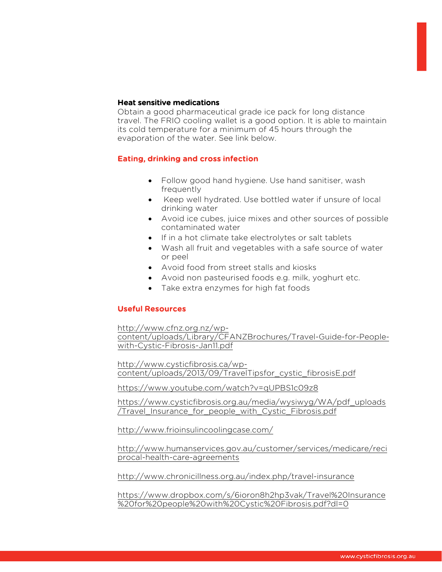#### Heat sensitive medications

Obtain a good pharmaceutical grade ice pack for long distance travel. The FRIO cooling wallet is a good option. It is able to maintain its cold temperature for a minimum of 45 hours through the evaporation of the water. See link below.

## Eating, drinking and cross infection

- Follow good hand hygiene. Use hand sanitiser, wash frequently
- Keep well hydrated. Use bottled water if unsure of local drinking water
- Avoid ice cubes, juice mixes and other sources of possible contaminated water
- If in a hot climate take electrolytes or salt tablets
- Wash all fruit and vegetables with a safe source of water or peel
- Avoid food from street stalls and kiosks
- Avoid non pasteurised foods e.g. milk, yoghurt etc.
- Take extra enzymes for high fat foods

## Useful Resources

http://www.cfnz.org.nz/wp-

content/uploads/Library/CFANZBrochures/Travel-Guide-for-Peoplewith-Cystic-Fibrosis-Jan11.pdf

http://www.cysticfibrosis.ca/wpcontent/uploads/2013/09/TravelTipsfor\_cystic\_fibrosisE.pdf

https://www.youtube.com/watch?v=qUPBS1c09z8

https://www.cysticfibrosis.org.au/media/wysiwyg/WA/pdf\_uploads /Travel\_Insurance\_for\_people\_with\_Cystic\_Fibrosis.pdf

http://www.frioinsulincoolingcase.com/

http://www.humanservices.gov.au/customer/services/medicare/reci procal-health-care-agreements

http://www.chronicillness.org.au/index.php/travel-insurance

https://www.dropbox.com/s/6ioron8h2hp3vak/Travel%20Insurance %20for%20people%20with%20Cystic%20Fibrosis.pdf?dl=0